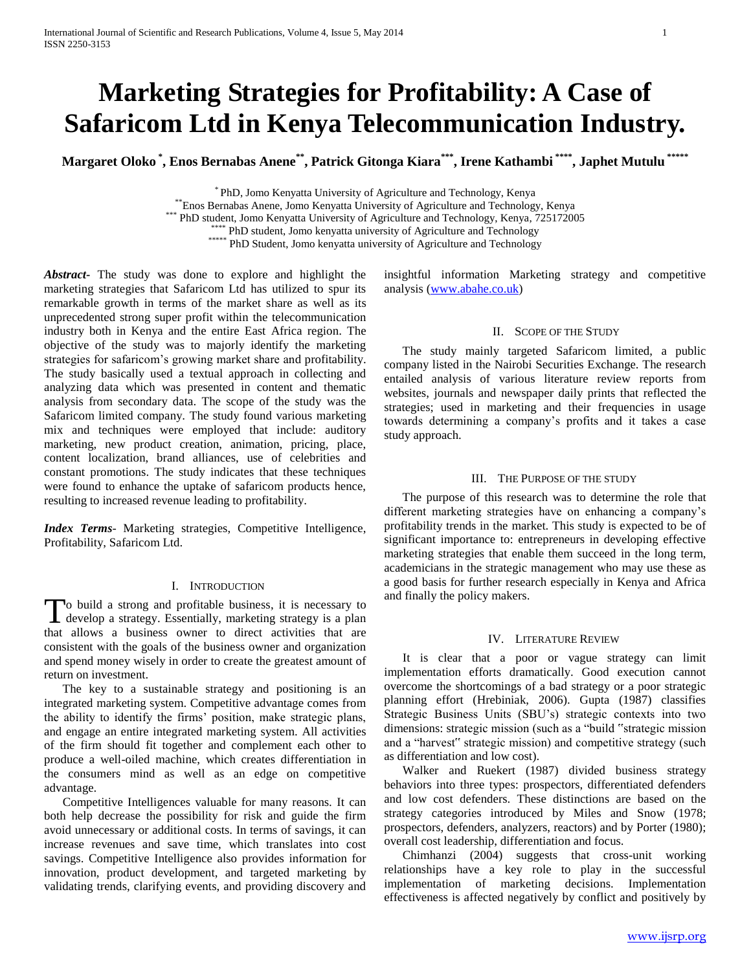# **Marketing Strategies for Profitability: A Case of Safaricom Ltd in Kenya Telecommunication Industry.**

**Margaret Oloko \* , Enos Bernabas Anene\*\* , Patrick Gitonga Kiara\*\*\* , Irene Kathambi \*\*\*\* , Japhet Mutulu \*\*\*\*\***

\* PhD, Jomo Kenyatta University of Agriculture and Technology, Kenya

\*\*Enos Bernabas Anene, Jomo Kenyatta University of Agriculture and Technology, Kenya \*\*\* PhD student, Jomo Kenyatta University of Agriculture and Technology, Kenya, 725172005

\*\*\* PhD student, Jomo kenyatta university of Agriculture and Technology

\*\*\*\*\* PhD Student, Jomo kenyatta university of Agriculture and Technology

*Abstract***-** The study was done to explore and highlight the marketing strategies that Safaricom Ltd has utilized to spur its remarkable growth in terms of the market share as well as its unprecedented strong super profit within the telecommunication industry both in Kenya and the entire East Africa region. The objective of the study was to majorly identify the marketing strategies for safaricom's growing market share and profitability. The study basically used a textual approach in collecting and analyzing data which was presented in content and thematic analysis from secondary data. The scope of the study was the Safaricom limited company. The study found various marketing mix and techniques were employed that include: auditory marketing, new product creation, animation, pricing, place, content localization, brand alliances, use of celebrities and constant promotions. The study indicates that these techniques were found to enhance the uptake of safaricom products hence, resulting to increased revenue leading to profitability.

*Index Terms*- Marketing strategies, Competitive Intelligence, Profitability, Safaricom Ltd.

## I. INTRODUCTION

o build a strong and profitable business, it is necessary to To build a strong and profitable business, it is necessary to develop a strategy. Essentially, marketing strategy is a plan that allows a business owner to direct activities that are consistent with the goals of the business owner and organization and spend money wisely in order to create the greatest amount of return on investment.

 The key to a sustainable strategy and positioning is an integrated marketing system. Competitive advantage comes from the ability to identify the firms' position, make strategic plans, and engage an entire integrated marketing system. All activities of the firm should fit together and complement each other to produce a well-oiled machine, which creates differentiation in the consumers mind as well as an edge on competitive advantage.

 Competitive Intelligences valuable for many reasons. It can both help decrease the possibility for risk and guide the firm avoid unnecessary or additional costs. In terms of savings, it can increase revenues and save time, which translates into cost savings. Competitive Intelligence also provides information for innovation, product development, and targeted marketing by validating trends, clarifying events, and providing discovery and

insightful information Marketing strategy and competitive analysis [\(www.abahe.co.uk\)](http://www.abahe.co.uk/)

## II. SCOPE OF THE STUDY

 The study mainly targeted Safaricom limited, a public company listed in the Nairobi Securities Exchange. The research entailed analysis of various literature review reports from websites, journals and newspaper daily prints that reflected the strategies; used in marketing and their frequencies in usage towards determining a company's profits and it takes a case study approach.

## III. THE PURPOSE OF THE STUDY

 The purpose of this research was to determine the role that different marketing strategies have on enhancing a company's profitability trends in the market. This study is expected to be of significant importance to: entrepreneurs in developing effective marketing strategies that enable them succeed in the long term, academicians in the strategic management who may use these as a good basis for further research especially in Kenya and Africa and finally the policy makers.

#### IV. LITERATURE REVIEW

 It is clear that a poor or vague strategy can limit implementation efforts dramatically. Good execution cannot overcome the shortcomings of a bad strategy or a poor strategic planning effort (Hrebiniak, 2006). Gupta (1987) classifies Strategic Business Units (SBU's) strategic contexts into two dimensions: strategic mission (such as a "build "strategic mission and a "harvest" strategic mission) and competitive strategy (such as differentiation and low cost).

 Walker and Ruekert (1987) divided business strategy behaviors into three types: prospectors, differentiated defenders and low cost defenders. These distinctions are based on the strategy categories introduced by Miles and Snow (1978; prospectors, defenders, analyzers, reactors) and by Porter (1980); overall cost leadership, differentiation and focus.

 Chimhanzi (2004) suggests that cross-unit working relationships have a key role to play in the successful implementation of marketing decisions. Implementation effectiveness is affected negatively by conflict and positively by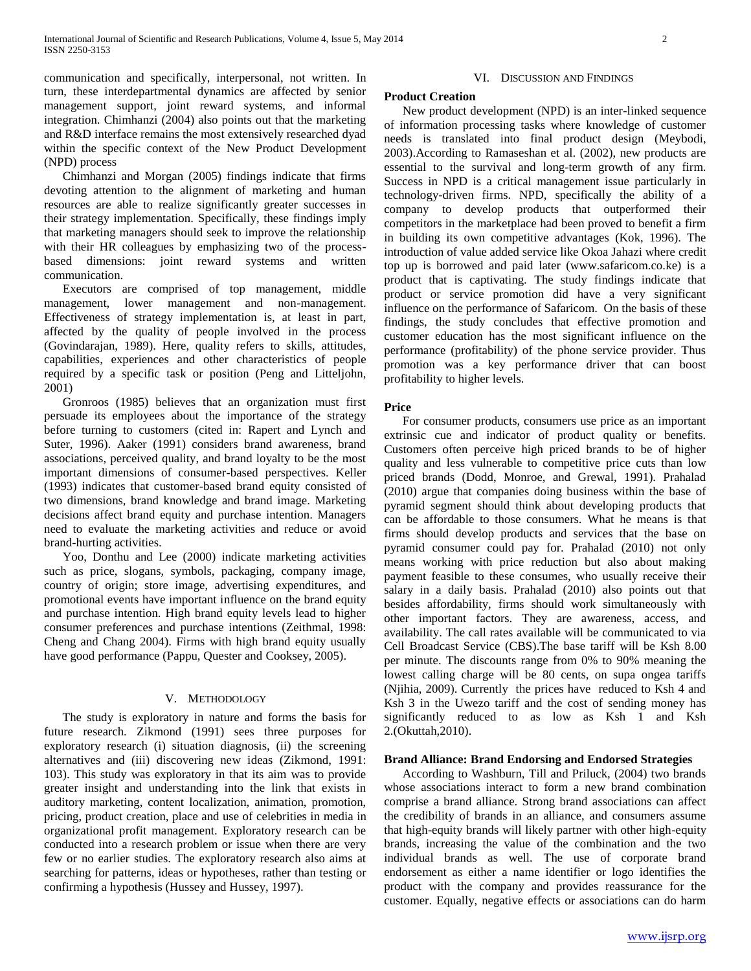communication and specifically, interpersonal, not written. In turn, these interdepartmental dynamics are affected by senior management support, joint reward systems, and informal integration. Chimhanzi (2004) also points out that the marketing and R&D interface remains the most extensively researched dyad within the specific context of the New Product Development (NPD) process

 Chimhanzi and Morgan (2005) findings indicate that firms devoting attention to the alignment of marketing and human resources are able to realize significantly greater successes in their strategy implementation. Specifically, these findings imply that marketing managers should seek to improve the relationship with their HR colleagues by emphasizing two of the processbased dimensions: joint reward systems and written communication.

 Executors are comprised of top management, middle management, lower management and non-management. Effectiveness of strategy implementation is, at least in part, affected by the quality of people involved in the process (Govindarajan, 1989). Here, quality refers to skills, attitudes, capabilities, experiences and other characteristics of people required by a specific task or position (Peng and Litteljohn, 2001)

 Gronroos (1985) believes that an organization must first persuade its employees about the importance of the strategy before turning to customers (cited in: Rapert and Lynch and Suter, 1996). Aaker (1991) considers brand awareness, brand associations, perceived quality, and brand loyalty to be the most important dimensions of consumer-based perspectives. Keller (1993) indicates that customer-based brand equity consisted of two dimensions, brand knowledge and brand image. Marketing decisions affect brand equity and purchase intention. Managers need to evaluate the marketing activities and reduce or avoid brand-hurting activities.

 Yoo, Donthu and Lee (2000) indicate marketing activities such as price, slogans, symbols, packaging, company image, country of origin; store image, advertising expenditures, and promotional events have important influence on the brand equity and purchase intention. High brand equity levels lead to higher consumer preferences and purchase intentions (Zeithmal, 1998: Cheng and Chang 2004). Firms with high brand equity usually have good performance (Pappu, Quester and Cooksey, 2005).

### V. METHODOLOGY

 The study is exploratory in nature and forms the basis for future research. Zikmond (1991) sees three purposes for exploratory research (i) situation diagnosis, (ii) the screening alternatives and (iii) discovering new ideas (Zikmond, 1991: 103). This study was exploratory in that its aim was to provide greater insight and understanding into the link that exists in auditory marketing, content localization, animation, promotion, pricing, product creation, place and use of celebrities in media in organizational profit management. Exploratory research can be conducted into a research problem or issue when there are very few or no earlier studies. The exploratory research also aims at searching for patterns, ideas or hypotheses, rather than testing or confirming a hypothesis (Hussey and Hussey, 1997).

#### VI. DISCUSSION AND FINDINGS

#### **Product Creation**

 New product development (NPD) is an inter-linked sequence of information processing tasks where knowledge of customer needs is translated into final product design (Meybodi, 2003).According to Ramaseshan et al. (2002), new products are essential to the survival and long-term growth of any firm. Success in NPD is a critical management issue particularly in technology-driven firms. NPD, specifically the ability of a company to develop products that outperformed their competitors in the marketplace had been proved to benefit a firm in building its own competitive advantages (Kok, 1996). The introduction of value added service like Okoa Jahazi where credit top up is borrowed and paid later (www.safaricom.co.ke) is a product that is captivating. The study findings indicate that product or service promotion did have a very significant influence on the performance of Safaricom. On the basis of these findings, the study concludes that effective promotion and customer education has the most significant influence on the performance (profitability) of the phone service provider. Thus promotion was a key performance driver that can boost profitability to higher levels.

#### **Price**

 For consumer products, consumers use price as an important extrinsic cue and indicator of product quality or benefits. Customers often perceive high priced brands to be of higher quality and less vulnerable to competitive price cuts than low priced brands (Dodd, Monroe, and Grewal, 1991). Prahalad (2010) argue that companies doing business within the base of pyramid segment should think about developing products that can be affordable to those consumers. What he means is that firms should develop products and services that the base on pyramid consumer could pay for. Prahalad (2010) not only means working with price reduction but also about making payment feasible to these consumes, who usually receive their salary in a daily basis. Prahalad (2010) also points out that besides affordability, firms should work simultaneously with other important factors. They are awareness, access, and availability. The call rates available will be communicated to via Cell Broadcast Service (CBS).The base tariff will be Ksh 8.00 per minute. The discounts range from 0% to 90% meaning the lowest calling charge will be 80 cents, on supa ongea tariffs (Njihia, 2009). Currently the prices have reduced to Ksh 4 and Ksh 3 in the Uwezo tariff and the cost of sending money has significantly reduced to as low as Ksh 1 and Ksh 2.(Okuttah,2010).

## **Brand Alliance: Brand Endorsing and Endorsed Strategies**

 According to Washburn, Till and Priluck, (2004) two brands whose associations interact to form a new brand combination comprise a brand alliance. Strong brand associations can affect the credibility of brands in an alliance, and consumers assume that high-equity brands will likely partner with other high-equity brands, increasing the value of the combination and the two individual brands as well. The use of corporate brand endorsement as either a name identifier or logo identifies the product with the company and provides reassurance for the customer. Equally, negative effects or associations can do harm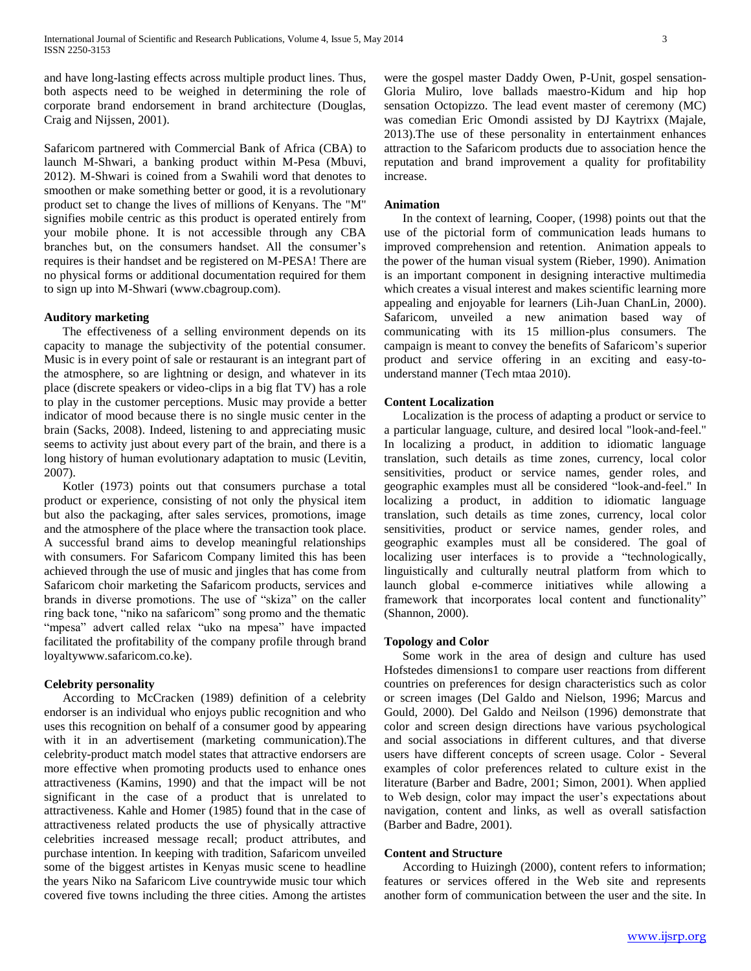and have long-lasting effects across multiple product lines. Thus, both aspects need to be weighed in determining the role of corporate brand endorsement in brand architecture (Douglas, Craig and Nijssen, 2001).

Safaricom partnered with Commercial Bank of Africa (CBA) to launch M-Shwari, a banking product within M-Pesa (Mbuvi, 2012). M-Shwari is coined from a Swahili word that denotes to smoothen or make something better or good, it is a revolutionary product set to change the lives of millions of Kenyans. The "M" signifies mobile centric as this product is operated entirely from your mobile phone. It is not accessible through any CBA branches but, on the consumers handset. All the consumer's requires is their handset and be registered on M-PESA! There are no physical forms or additional documentation required for them to sign up into M-Shwari (www.cbagroup.com).

## **Auditory marketing**

 The effectiveness of a selling environment depends on its capacity to manage the subjectivity of the potential consumer. Music is in every point of sale or restaurant is an integrant part of the atmosphere, so are lightning or design, and whatever in its place (discrete speakers or video-clips in a big flat TV) has a role to play in the customer perceptions. Music may provide a better indicator of mood because there is no single music center in the brain (Sacks, 2008). Indeed, listening to and appreciating music seems to activity just about every part of the brain, and there is a long history of human evolutionary adaptation to music (Levitin, 2007).

 Kotler (1973) points out that consumers purchase a total product or experience, consisting of not only the physical item but also the packaging, after sales services, promotions, image and the atmosphere of the place where the transaction took place. A successful brand aims to develop meaningful relationships with consumers. For Safaricom Company limited this has been achieved through the use of music and jingles that has come from Safaricom choir marketing the Safaricom products, services and brands in diverse promotions. The use of "skiza" on the caller ring back tone, "niko na safaricom" song promo and the thematic "mpesa" advert called relax "uko na mpesa" have impacted facilitated the profitability of the company profile through brand loyaltywww.safaricom.co.ke).

## **Celebrity personality**

 According to McCracken (1989) definition of a celebrity endorser is an individual who enjoys public recognition and who uses this recognition on behalf of a consumer good by appearing with it in an advertisement (marketing communication).The celebrity-product match model states that attractive endorsers are more effective when promoting products used to enhance ones attractiveness (Kamins, 1990) and that the impact will be not significant in the case of a product that is unrelated to attractiveness. Kahle and Homer (1985) found that in the case of attractiveness related products the use of physically attractive celebrities increased message recall; product attributes, and purchase intention. In keeping with tradition, Safaricom unveiled some of the biggest artistes in Kenyas music scene to headline the years Niko na Safaricom Live countrywide music tour which covered five towns including the three cities. Among the artistes

were the gospel master Daddy Owen, P-Unit, gospel sensation-Gloria Muliro, love ballads maestro-Kidum and hip hop sensation Octopizzo. The lead event master of ceremony (MC) was comedian Eric Omondi assisted by DJ Kaytrixx (Majale, 2013).The use of these personality in entertainment enhances attraction to the Safaricom products due to association hence the reputation and brand improvement a quality for profitability increase.

#### **Animation**

 In the context of learning, Cooper, (1998) points out that the use of the pictorial form of communication leads humans to improved comprehension and retention. Animation appeals to the power of the human visual system (Rieber, 1990). Animation is an important component in designing interactive multimedia which creates a visual interest and makes scientific learning more appealing and enjoyable for learners (Lih-Juan ChanLin, 2000). Safaricom, unveiled a new animation based way of communicating with its 15 million-plus consumers. The campaign is meant to convey the benefits of Safaricom's superior product and service offering in an exciting and easy-tounderstand manner (Tech mtaa 2010).

#### **Content Localization**

 Localization is the process of adapting a product or service to a particular language, culture, and desired local "look-and-feel." In localizing a product, in addition to idiomatic language translation, such details as time zones, currency, local color sensitivities, product or service names, gender roles, and geographic examples must all be considered "look-and-feel." In localizing a product, in addition to idiomatic language translation, such details as time zones, currency, local color sensitivities, product or service names, gender roles, and geographic examples must all be considered. The goal of localizing user interfaces is to provide a "technologically, linguistically and culturally neutral platform from which to launch global e-commerce initiatives while allowing a framework that incorporates local content and functionality" (Shannon, 2000).

#### **Topology and Color**

 Some work in the area of design and culture has used Hofstedes dimensions1 to compare user reactions from different countries on preferences for design characteristics such as color or screen images (Del Galdo and Nielson, 1996; Marcus and Gould, 2000). Del Galdo and Neilson (1996) demonstrate that color and screen design directions have various psychological and social associations in different cultures, and that diverse users have different concepts of screen usage. Color - Several examples of color preferences related to culture exist in the literature (Barber and Badre, 2001; Simon, 2001). When applied to Web design, color may impact the user's expectations about navigation, content and links, as well as overall satisfaction (Barber and Badre, 2001).

## **Content and Structure**

 According to Huizingh (2000), content refers to information; features or services offered in the Web site and represents another form of communication between the user and the site. In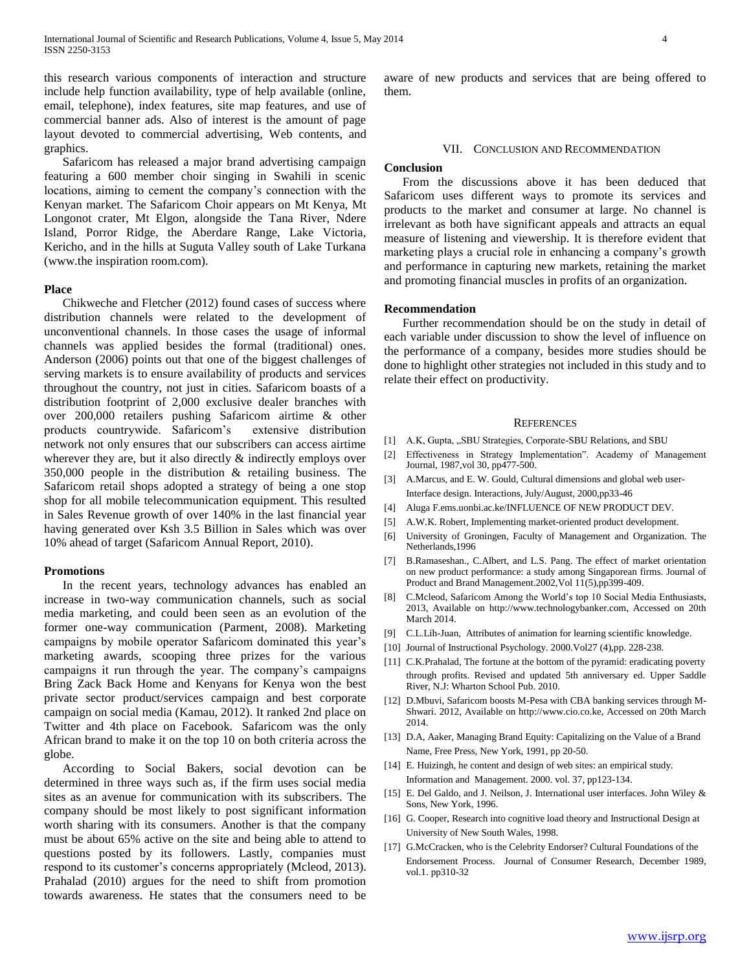this research various components of interaction and structure include help function availability, type of help available (online, email, telephone), index features, site map features, and use of commercial banner ads. Also of interest is the amount of page layout devoted to commercial advertising, Web contents, and graphics.

 Safaricom has released a major brand advertising campaign featuring a 600 member choir singing in Swahili in scenic locations, aiming to cement the company's connection with the Kenyan market. The Safaricom Choir appears on Mt Kenya, Mt Longonot crater, Mt Elgon, alongside the Tana River, Ndere Island, Porror Ridge, the Aberdare Range, Lake Victoria, Kericho, and in the hills at Suguta Valley south of Lake Turkana (www.the inspiration room.com).

#### **Place**

 Chikweche and Fletcher (2012) found cases of success where distribution channels were related to the development of unconventional channels. In those cases the usage of informal channels was applied besides the formal (traditional) ones. Anderson (2006) points out that one of the biggest challenges of serving markets is to ensure availability of products and services throughout the country, not just in cities. Safaricom boasts of a distribution footprint of 2,000 exclusive dealer branches with over 200,000 retailers pushing Safaricom airtime & other products countrywide. Safaricom's extensive distribution network not only ensures that our subscribers can access airtime wherever they are, but it also directly  $\&$  indirectly employs over 350,000 people in the distribution & retailing business. The Safaricom retail shops adopted a strategy of being a one stop shop for all mobile telecommunication equipment. This resulted in Sales Revenue growth of over 140% in the last financial year having generated over Ksh 3.5 Billion in Sales which was over 10% ahead of target (Safaricom Annual Report, 2010).

#### **Promotions**

 In the recent years, technology advances has enabled an increase in two-way communication channels, such as social media marketing, and could been seen as an evolution of the former one-way communication (Parment, 2008). Marketing campaigns by mobile operator Safaricom dominated this year's marketing awards, scooping three prizes for the various campaigns it run through the year. The company's campaigns Bring Zack Back Home and Kenyans for Kenya won the best private sector product/services campaign and best corporate campaign on social media (Kamau, 2012). It ranked 2nd place on Twitter and 4th place on Facebook. Safaricom was the only African brand to make it on the top 10 on both criteria across the globe.

 According to Social Bakers, social devotion can be determined in three ways such as, if the firm uses social media sites as an avenue for communication with its subscribers. The company should be most likely to post significant information worth sharing with its consumers. Another is that the company must be about 65% active on the site and being able to attend to questions posted by its followers. Lastly, companies must respond to its customer's concerns appropriately (Mcleod, 2013). Prahalad (2010) argues for the need to shift from promotion towards awareness. He states that the consumers need to be

aware of new products and services that are being offered to them.

### VII. CONCLUSION AND RECOMMENDATION

#### **Conclusion**

 From the discussions above it has been deduced that Safaricom uses different ways to promote its services and products to the market and consumer at large. No channel is irrelevant as both have significant appeals and attracts an equal measure of listening and viewership. It is therefore evident that marketing plays a crucial role in enhancing a company's growth and performance in capturing new markets, retaining the market and promoting financial muscles in profits of an organization.

#### **Recommendation**

 Further recommendation should be on the study in detail of each variable under discussion to show the level of influence on the performance of a company, besides more studies should be done to highlight other strategies not included in this study and to relate their effect on productivity.

#### **REFERENCES**

- [1] A.K, Gupta, "SBU Strategies, Corporate-SBU Relations, and SBU
- [2] Effectiveness in Strategy Implementation". Academy of Management Journal, 1987,vol 30, pp477-500.
- [3] A.Marcus, and E. W. Gould, Cultural dimensions and global web user-Interface design. Interactions, July/August, 2000,pp33-46
- [4] Aluga F.ems.uonbi.ac.ke/INFLUENCE OF NEW PRODUCT DEV.
- [5] A.W.K. Robert, Implementing market-oriented product development.
- [6] University of Groningen, Faculty of Management and Organization. The Netherlands,1996
- [7] B.Ramaseshan., C.Albert, and L.S. Pang. The effect of market orientation on new product performance: a study among Singaporean firms. Journal of Product and Brand Management.2002,Vol 11(5),pp399-409.
- [8] C.Mcleod, Safaricom Among the World's top 10 Social Media Enthusiasts, 2013, Available on http://www.technologybanker.com, Accessed on 20th March 2014.
- [9] C.L.Lih-Juan, Attributes of animation for learning scientific knowledge.
- [10] Journal of Instructional Psychology. 2000. Vol27 (4), pp. 228-238.
- [11] C.K.Prahalad, The fortune at the bottom of the pyramid: eradicating poverty through profits. Revised and updated 5th anniversary ed. Upper Saddle River, N.J: Wharton School Pub. 2010.
- [12] D.Mbuvi, Safaricom boosts M-Pesa with CBA banking services through M-Shwari. 2012, Available on http://www.cio.co.ke, Accessed on 20th March 2014.
- [13] D.A, Aaker, Managing Brand Equity: Capitalizing on the Value of a Brand Name, Free Press, New York, 1991, pp 20-50.
- [14] E. Huizingh, he content and design of web sites: an empirical study. Information and Management. 2000. vol. 37, pp123-134.
- [15] E. Del Galdo, and J. Neilson, J. International user interfaces. John Wiley & Sons, New York, 1996.
- [16] G. Cooper, Research into cognitive load theory and Instructional Design at University of New South Wales, 1998.
- [17] G.McCracken, who is the Celebrity Endorser? Cultural Foundations of the Endorsement Process. Journal of Consumer Research, December 1989, vol.1. pp310-32